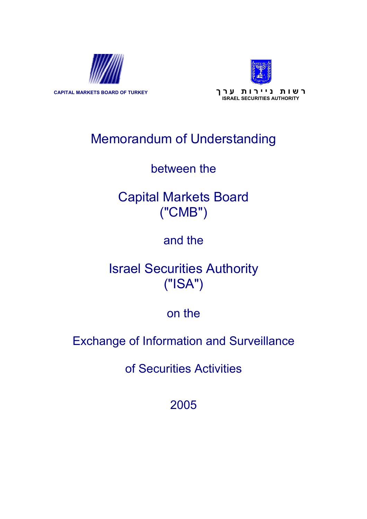



**ר ש ו ת נ י י ר ו ת ע ר ך TURKEY OF BOARD MARKETS CAPITAL ISRAEL SECURITIES AUTHORITY**

# Memorandum of Understanding

## between the

# Capital Markets Board ("CMB")

## and the

## Israel Securities Authority ("ISA")

## on the

## Exchange of Information and Surveillance

of Securities Activities

2005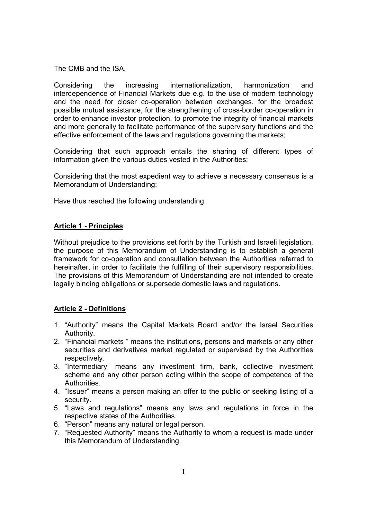The CMB and the ISA,

Considering the increasing internationalization, harmonization and interdependence of Financial Markets due e.g. to the use of modern technology and the need for closer co-operation between exchanges, for the broadest possible mutual assistance, for the strengthening of cross-border co-operation in order to enhance investor protection, to promote the integrity of financial markets and more generally to facilitate performance of the supervisory functions and the effective enforcement of the laws and regulations governing the markets;

Considering that such approach entails the sharing of different types of information given the various duties vested in the Authorities;

Considering that the most expedient way to achieve a necessary consensus is a Memorandum of Understanding;

Have thus reached the following understanding:

### **Article 1 - Principles**

Without prejudice to the provisions set forth by the Turkish and Israeli legislation, the purpose of this Memorandum of Understanding is to establish a general framework for co-operation and consultation between the Authorities referred to hereinafter, in order to facilitate the fulfilling of their supervisory responsibilities. The provisions of this Memorandum of Understanding are not intended to create legally binding obligations or supersede domestic laws and regulations.

### **Article 2 - Definitions**

- 1. "Authority" means the Capital Markets Board and/or the Israel Securities Authority.
- 2. "Financial markets " means the institutions, persons and markets or any other securities and derivatives market regulated or supervised by the Authorities respectively.
- 3. "Intermediary" means any investment firm, bank, collective investment scheme and any other person acting within the scope of competence of the Authorities.
- 4. "Issuer" means a person making an offer to the public or seeking listing of a security.
- 5. "Laws and regulations" means any laws and regulations in force in the respective states of the Authorities.
- 6. "Person" means any natural or legal person.
- 7. "Requested Authority" means the Authority to whom a request is made under this Memorandum of Understanding.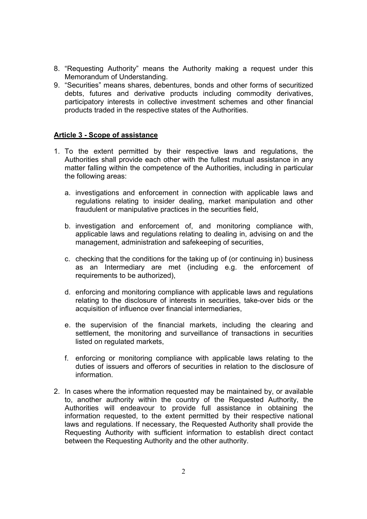- 8. "Requesting Authority" means the Authority making a request under this Memorandum of Understanding.
- 9. "Securities" means shares, debentures, bonds and other forms of securitized debts, futures and derivative products including commodity derivatives, participatory interests in collective investment schemes and other financial products traded in the respective states of the Authorities.

#### **Article 3 - Scope of assistance**

- 1. To the extent permitted by their respective laws and regulations, the Authorities shall provide each other with the fullest mutual assistance in any matter falling within the competence of the Authorities, including in particular the following areas:
	- a. investigations and enforcement in connection with applicable laws and regulations relating to insider dealing, market manipulation and other fraudulent or manipulative practices in the securities field,
	- b. investigation and enforcement of, and monitoring compliance with, applicable laws and regulations relating to dealing in, advising on and the management, administration and safekeeping of securities,
	- c. checking that the conditions for the taking up of (or continuing in) business as an Intermediary are met (including e.g. the enforcement of requirements to be authorized),
	- d. enforcing and monitoring compliance with applicable laws and regulations relating to the disclosure of interests in securities, take-over bids or the acquisition of influence over financial intermediaries,
	- e. the supervision of the financial markets, including the clearing and settlement, the monitoring and surveillance of transactions in securities listed on regulated markets,
	- f. enforcing or monitoring compliance with applicable laws relating to the duties of issuers and offerors of securities in relation to the disclosure of information.
- 2. In cases where the information requested may be maintained by, or available to, another authority within the country of the Requested Authority, the Authorities will endeavour to provide full assistance in obtaining the information requested, to the extent permitted by their respective national laws and regulations. If necessary, the Requested Authority shall provide the Requesting Authority with sufficient information to establish direct contact between the Requesting Authority and the other authority.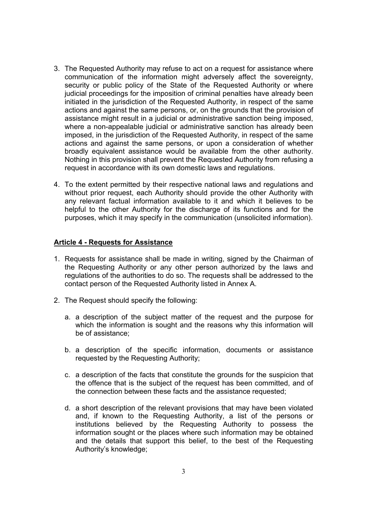- 3. The Requested Authority may refuse to act on a request for assistance where communication of the information might adversely affect the sovereignty, security or public policy of the State of the Requested Authority or where judicial proceedings for the imposition of criminal penalties have already been initiated in the jurisdiction of the Requested Authority, in respect of the same actions and against the same persons, or, on the grounds that the provision of assistance might result in a judicial or administrative sanction being imposed, where a non-appealable judicial or administrative sanction has already been imposed, in the jurisdiction of the Requested Authority, in respect of the same actions and against the same persons, or upon a consideration of whether broadly equivalent assistance would be available from the other authority. Nothing in this provision shall prevent the Requested Authority from refusing a request in accordance with its own domestic laws and regulations.
- 4. To the extent permitted by their respective national laws and regulations and without prior request, each Authority should provide the other Authority with any relevant factual information available to it and which it believes to be helpful to the other Authority for the discharge of its functions and for the purposes, which it may specify in the communication (unsolicited information).

#### **Article 4 - Requests for Assistance**

- 1. Requests for assistance shall be made in writing, signed by the Chairman of the Requesting Authority or any other person authorized by the laws and regulations of the authorities to do so. The requests shall be addressed to the contact person of the Requested Authority listed in Annex A.
- 2. The Request should specify the following:
	- a. a description of the subject matter of the request and the purpose for which the information is sought and the reasons why this information will be of assistance;
	- b. a description of the specific information, documents or assistance requested by the Requesting Authority;
	- c. a description of the facts that constitute the grounds for the suspicion that the offence that is the subject of the request has been committed, and of the connection between these facts and the assistance requested;
	- d. a short description of the relevant provisions that may have been violated and, if known to the Requesting Authority, a list of the persons or institutions believed by the Requesting Authority to possess the information sought or the places where such information may be obtained and the details that support this belief, to the best of the Requesting Authority's knowledge;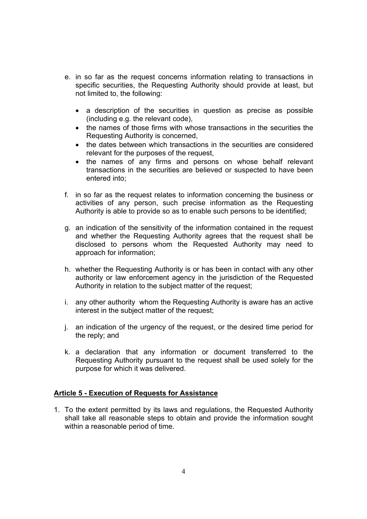- e. in so far as the request concerns information relating to transactions in specific securities, the Requesting Authority should provide at least, but not limited to, the following:
	- a description of the securities in question as precise as possible (including e.g. the relevant code),
	- the names of those firms with whose transactions in the securities the Requesting Authority is concerned,
	- the dates between which transactions in the securities are considered relevant for the purposes of the request,
	- the names of any firms and persons on whose behalf relevant transactions in the securities are believed or suspected to have been entered into;
- f. in so far as the request relates to information concerning the business or activities of any person, such precise information as the Requesting Authority is able to provide so as to enable such persons to be identified;
- g. an indication of the sensitivity of the information contained in the request and whether the Requesting Authority agrees that the request shall be disclosed to persons whom the Requested Authority may need to approach for information;
- h. whether the Requesting Authority is or has been in contact with any other authority or law enforcement agency in the jurisdiction of the Requested Authority in relation to the subject matter of the request;
- i. any other authority whom the Requesting Authority is aware has an active interest in the subject matter of the request;
- j. an indication of the urgency of the request, or the desired time period for the reply; and
- k. a declaration that any information or document transferred to the Requesting Authority pursuant to the request shall be used solely for the purpose for which it was delivered.

#### **Article 5 - Execution of Requests for Assistance**

1. To the extent permitted by its laws and regulations, the Requested Authority shall take all reasonable steps to obtain and provide the information sought within a reasonable period of time.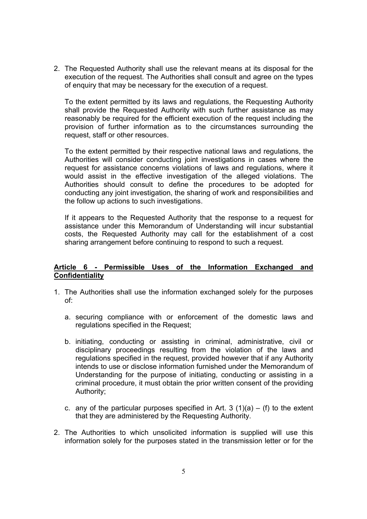2. The Requested Authority shall use the relevant means at its disposal for the execution of the request. The Authorities shall consult and agree on the types of enquiry that may be necessary for the execution of a request.

To the extent permitted by its laws and regulations, the Requesting Authority shall provide the Requested Authority with such further assistance as may reasonably be required for the efficient execution of the request including the provision of further information as to the circumstances surrounding the request, staff or other resources.

To the extent permitted by their respective national laws and regulations, the Authorities will consider conducting joint investigations in cases where the request for assistance concerns violations of laws and regulations, where it would assist in the effective investigation of the alleged violations. The Authorities should consult to define the procedures to be adopted for conducting any joint investigation, the sharing of work and responsibilities and the follow up actions to such investigations.

If it appears to the Requested Authority that the response to a request for assistance under this Memorandum of Understanding will incur substantial costs, the Requested Authority may call for the establishment of a cost sharing arrangement before continuing to respond to such a request.

#### **Article 6 - Permissible Uses of the Information Exchanged and Confidentiality**

- 1. The Authorities shall use the information exchanged solely for the purposes of:
	- a. securing compliance with or enforcement of the domestic laws and regulations specified in the Request;
	- b. initiating, conducting or assisting in criminal, administrative, civil or disciplinary proceedings resulting from the violation of the laws and regulations specified in the request, provided however that if any Authority intends to use or disclose information furnished under the Memorandum of Understanding for the purpose of initiating, conducting or assisting in a criminal procedure, it must obtain the prior written consent of the providing Authority;
	- c. any of the particular purposes specified in Art. 3 (1)(a)  $-$  (f) to the extent that they are administered by the Requesting Authority.
- 2. The Authorities to which unsolicited information is supplied will use this information solely for the purposes stated in the transmission letter or for the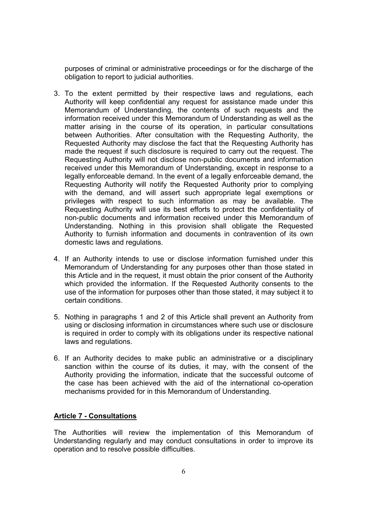purposes of criminal or administrative proceedings or for the discharge of the obligation to report to judicial authorities.

- 3. To the extent permitted by their respective laws and regulations, each Authority will keep confidential any request for assistance made under this Memorandum of Understanding, the contents of such requests and the information received under this Memorandum of Understanding as well as the matter arising in the course of its operation, in particular consultations between Authorities. After consultation with the Requesting Authority, the Requested Authority may disclose the fact that the Requesting Authority has made the request if such disclosure is required to carry out the request. The Requesting Authority will not disclose non-public documents and information received under this Memorandum of Understanding, except in response to a legally enforceable demand. In the event of a legally enforceable demand, the Requesting Authority will notify the Requested Authority prior to complying with the demand, and will assert such appropriate legal exemptions or privileges with respect to such information as may be available. The Requesting Authority will use its best efforts to protect the confidentiality of non-public documents and information received under this Memorandum of Understanding. Nothing in this provision shall obligate the Requested Authority to furnish information and documents in contravention of its own domestic laws and regulations.
- 4. If an Authority intends to use or disclose information furnished under this Memorandum of Understanding for any purposes other than those stated in this Article and in the request, it must obtain the prior consent of the Authority which provided the information. If the Requested Authority consents to the use of the information for purposes other than those stated, it may subject it to certain conditions.
- 5. Nothing in paragraphs 1 and 2 of this Article shall prevent an Authority from using or disclosing information in circumstances where such use or disclosure is required in order to comply with its obligations under its respective national laws and regulations.
- 6. If an Authority decides to make public an administrative or a disciplinary sanction within the course of its duties, it may, with the consent of the Authority providing the information, indicate that the successful outcome of the case has been achieved with the aid of the international co-operation mechanisms provided for in this Memorandum of Understanding.

#### **Article 7 - Consultations**

The Authorities will review the implementation of this Memorandum of Understanding regularly and may conduct consultations in order to improve its operation and to resolve possible difficulties.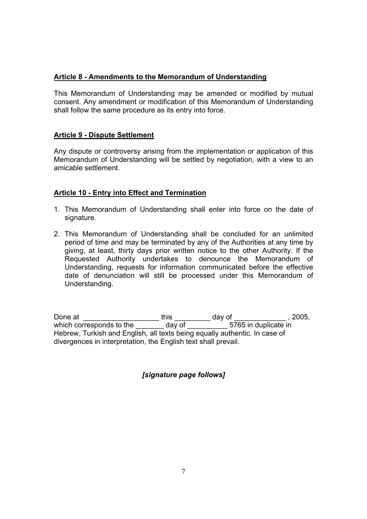### **Article 8 - Amendments to the Memorandum of Understanding**

This Memorandum of Understanding may be amended or modified by mutual consent. Any amendment or modification of this Memorandum of Understanding shall follow the same procedure as its entry into force.

### **Article 9 - Dispute Settlement**

Any dispute or controversy arising from the implementation or application of this Memorandum of Understanding will be settled by negotiation, with a view to an amicable settlement.

### **Article 10 - Entry into Effect and Termination**

- 1. This Memorandum of Understanding shall enter into force on the date of signature.
- 2. This Memorandum of Understanding shall be concluded for an unlimited period of time and may be terminated by any of the Authorities at any time by giving, at least, thirty days prior written notice to the other Authority. If the Requested Authority undertakes to denounce the Memorandum of Understanding, requests for information communicated before the effective date of denunciation will still be processed under this Memorandum of Understanding.

Done at \_\_\_\_\_\_\_\_\_\_\_\_\_\_\_\_\_\_\_ this \_\_\_\_\_\_\_\_\_ day of \_\_\_\_\_\_\_\_\_\_\_\_\_ , 2005, which corresponds to the  $\frac{1}{\sqrt{1-\frac{1}{1-\frac{1}{1-\frac{1}{1-\frac{1}{1-\frac{1}{1-\frac{1}{1-\frac{1}{1-\frac{1}{1-\frac{1}{1-\frac{1}{1-\frac{1}{1-\frac{1}{1-\frac{1}{1-\frac{1}{1-\frac{1}{1-\frac{1}{1-\frac{1}{1-\frac{1}{1-\frac{1}{1-\frac{1}{1-\frac{1}{1-\frac{1}{1-\frac{1}{1-\frac{1}{1-\frac{1}{1-\frac{1}{1-\frac{1}{1-\frac{1}{1-\frac{1}{1-\frac{1}{1-\frac{1}{1$ Hebrew, Turkish and English, all texts being equally authentic. In case of divergences in interpretation, the English text shall prevail.

*[signature page follows]*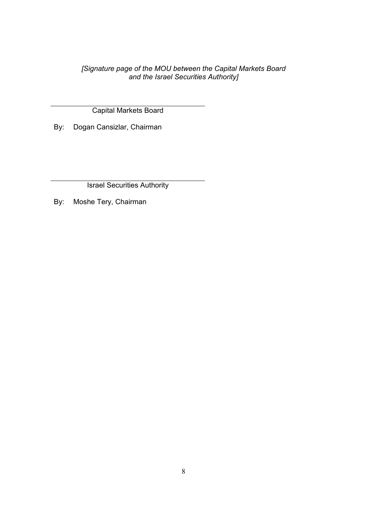*[Signature page of the MOU between the Capital Markets Board and the Israel Securities Authority]* 

Capital Markets Board

By: Dogan Cansizlar, Chairman

Israel Securities Authority

By: Moshe Tery, Chairman